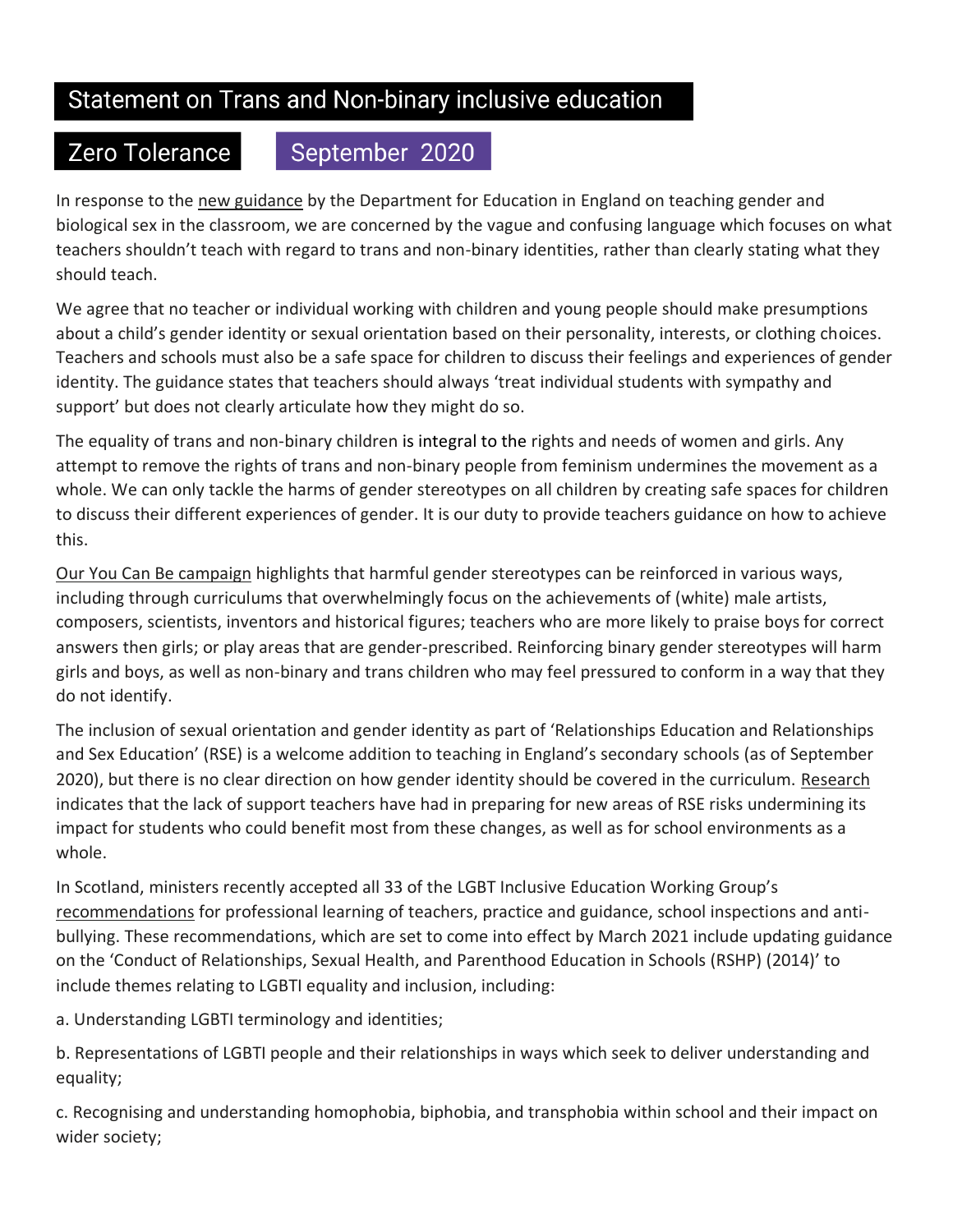## Statement on Trans and Non-binary inclusive education

## Zero Tolerance

## September 2020

In response to the [new guidance](https://www.gov.uk/guidance/plan-your-relationships-sex-and-health-curriculum) by the Department for Education in England on teaching gender and biological sex in the classroom, we are concerned by the vague and confusing language which focuses on what teachers shouldn't teach with regard to trans and non-binary identities, rather than clearly stating what they should teach.

We agree that no teacher or individual working with children and young people should make presumptions about a child's gender identity or sexual orientation based on their personality, interests, or clothing choices. Teachers and schools must also be a safe space for children to discuss their feelings and experiences of gender identity. The guidance states that teachers should always 'treat individual students with sympathy and support' but does not clearly articulate how they might do so.

The equality of trans and non-binary children is integral to the rights and needs of women and girls. Any attempt to remove the rights of trans and non-binary people from feminism undermines the movement as a whole. We can only tackle the harms of gender stereotypes on all children by creating safe spaces for children to discuss their different experiences of gender. It is our duty to provide teachers guidance on how to achieve this.

[Our You Can Be campaign](https://www.zerotolerance.org.uk/you-can-be/) highlights that harmful gender stereotypes can be reinforced in various ways, including through curriculums that overwhelmingly focus on the achievements of (white) male artists, composers, scientists, inventors and historical figures; teachers who are more likely to praise boys for correct answers then girls; or play areas that are gender-prescribed. Reinforcing binary gender stereotypes will harm girls and boys, as well as non-binary and trans children who may feel pressured to conform in a way that they do not identify.

The inclusion of sexual orientation and gender identity as part of 'Relationships Education and Relationships and Sex Education' (RSE) is a welcome addition to teaching in England's secondary schools (as of September 2020), but there is no clear direction on how gender identity should be covered in the curriculum. [Research](https://neu.org.uk/press-releases/neu-and-nspcc-survey-school-readiness-rse-lessons-2020) indicates that the lack of support teachers have had in preparing for new areas of RSE risks undermining its impact for students who could benefit most from these changes, as well as for school environments as a whole.

In Scotland, ministers recently accepted all 33 of the LGBT Inclusive Education Working Group's [recommendations](https://www.gov.scot/binaries/content/documents/govscot/publications/independent-report/2018/11/lgbti-inclusive-education-working-group-report/documents/lgbti-inclusive-education-working-group-report-scottish-ministers/lgbti-inclusive-education-working-group-report-scottish-ministers/govscot%3Adocument/00542171.pdf?forceDownload=true) for professional learning of teachers, practice and guidance, school inspections and antibullying. These recommendations, which are set to come into effect by March 2021 include updating guidance on the 'Conduct of Relationships, Sexual Health, and Parenthood Education in Schools (RSHP) (2014)' to include themes relating to LGBTI equality and inclusion, including:

a. Understanding LGBTI terminology and identities;

b. Representations of LGBTI people and their relationships in ways which seek to deliver understanding and equality;

c. Recognising and understanding homophobia, biphobia, and transphobia within school and their impact on wider society;